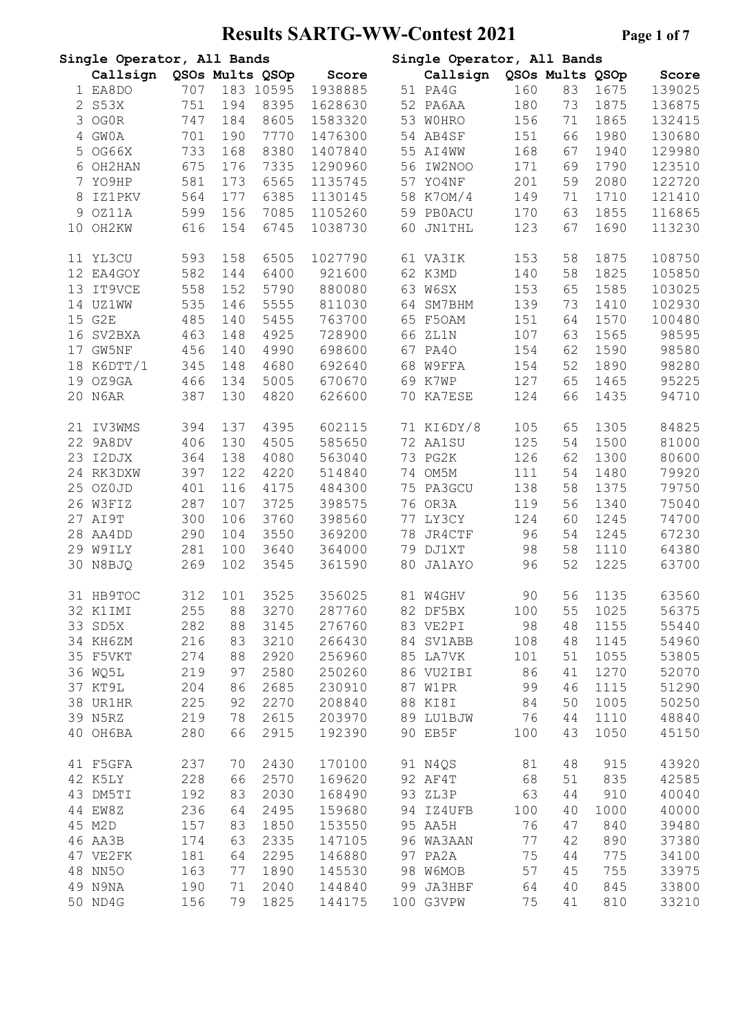# **Results SARTG-WW-Contest 2021 Page 1 of 7**

|    | Single Operator, All Bands |            |          |                 |                  |    | Single Operator, All Bands |           |                 |              |                |
|----|----------------------------|------------|----------|-----------------|------------------|----|----------------------------|-----------|-----------------|--------------|----------------|
|    | Callsign                   |            |          | QSOs Mults QSOp | Score            |    | Callsign                   |           | QSOs Mults QSOp |              | Score          |
|    | 1 EA8DO                    | 707        |          | 183 10595       | 1938885          |    | 51 PA4G                    | 160       | 83              | 1675         | 139025         |
|    | 2 S53X                     | 751        | 194      | 8395            | 1628630          |    | 52 PA6AA                   | 180       | 73              | 1875         | 136875         |
| 3  | OG0R                       | 747        | 184      | 8605            | 1583320          |    | 53 WOHRO                   | 156       | 71              | 1865         | 132415         |
| 4  | <b>GWOA</b>                | 701        | 190      | 7770            | 1476300          |    | 54 AB4SF                   | 151       | 66              | 1980         | 130680         |
| 5  | OG66X                      | 733        | 168      | 8380            | 1407840          |    | 55 AI4WW                   | 168       | 67              | 1940         | 129980         |
|    | 6 OH2HAN                   | 675        | 176      | 7335            | 1290960          |    | 56 IW2NOO                  | 171       | 69              | 1790         | 123510         |
|    |                            |            |          |                 |                  |    |                            |           |                 |              |                |
|    | 7 YO9HP                    | 581        | 173      | 6565            | 1135745          |    | 57 YO4NF                   | 201       | 59              | 2080         | 122720         |
| 8  | <b>IZ1PKV</b>              | 564        | 177      | 6385            | 1130145          |    | 58 K70M/4                  | 149       | 71              | 1710         | 121410         |
| 9  | OZ11A                      | 599        | 156      | 7085            | 1105260          |    | 59 PBOACU                  | 170       | 63              | 1855         | 116865         |
| 10 | OH2KW                      | 616        | 154      | 6745            | 1038730          | 60 | <b>JN1THL</b>              | 123       | 67              | 1690         | 113230         |
|    | 11 YL3CU                   | 593        | 158      | 6505            | 1027790          |    | 61 VA3IK                   | 153       | 58              | 1875         | 108750         |
|    | 12 EA4GOY                  | 582        | 144      | 6400            | 921600           |    | 62 K3MD                    | 140       | 58              | 1825         | 105850         |
| 13 | IT9VCE                     | 558        | 152      | 5790            | 880080           |    | 63 W6SX                    | 153       | 65              | 1585         | 103025         |
|    | 14 UZ1WW                   | 535        | 146      | 5555            | 811030           |    | 64 SM7BHM                  | 139       | 73              | 1410         | 102930         |
|    | 15 G2E                     | 485        | 140      | 5455            | 763700           |    | 65 F50AM                   | 151       | 64              | 1570         | 100480         |
|    | 16 SV2BXA                  | 463        | 148      | 4925            | 728900           | 66 | ZL1N                       | 107       | 63              | 1565         | 98595          |
| 17 | GW5NF                      | 456        | 140      | 4990            | 698600           |    | 67 PA40                    | 154       | 62              | 1590         | 98580          |
|    | 18 K6DTT/1                 | 345        | 148      | 4680            | 692640           |    | 68 W9FFA                   | 154       | 52              | 1890         | 98280          |
|    | 19 OZ9GA                   | 466        | 134      | 5005            | 670670           |    | 69 K7WP                    | 127       | 65              | 1465         | 95225          |
|    | 20 N6AR                    | 387        | 130      | 4820            | 626600           |    | 70 KA7ESE                  | 124       | 66              | 1435         | 94710          |
| 21 | IV3WMS                     | 394        | 137      | 4395            | 602115           |    | 71 KI6DY/8                 | 105       | 65              | 1305         | 84825          |
| 22 | 9A8DV                      | 406        | 130      | 4505            | 585650           |    | 72 AA1SU                   | 125       | 54              | 1500         | 81000          |
|    |                            |            |          |                 |                  |    |                            |           |                 |              |                |
|    | 23 I2DJX                   | 364        | 138      | 4080            | 563040           |    | 73 PG2K                    | 126       | 62              | 1300         | 80600          |
|    | 24 RK3DXW                  | 397        | 122      | 4220            | 514840           |    | 74 OM5M                    | 111       | 54              | 1480         | 79920          |
|    | 25 OZOJD                   | 401        | 116      | 4175            | 484300           |    | 75 PA3GCU                  | 138       | 58              | 1375         | 79750          |
|    | 26 W3FIZ                   | 287        | 107      | 3725            | 398575           |    | 76 OR3A                    | 119       | 56              | 1340         | 75040          |
| 27 | AI9T                       | 300        | 106      | 3760            | 398560           |    | 77 LY3CY                   | 124       | 60              | 1245         | 74700          |
| 28 | AA4DD                      | 290        | 104      | 3550            | 369200           | 78 | JR4CTF                     | 96        | 54              | 1245         | 67230          |
|    | 29 W9ILY                   | 281        | 100      | 3640            | 364000           |    | 79 DJ1XT                   | 98        | 58              | 1110         | 64380          |
| 30 | N8BJQ                      | 269        | 102      | 3545            | 361590           | 80 | <b>JA1AYO</b>              | 96        | 52              | 1225         | 63700          |
|    | 31 HB9TOC                  | 312        | 101      | 3525            | 356025           |    | 81 W4GHV                   | 90        | 56              | 1135         | 63560          |
|    | 32 K1IMI                   | 255        | 88       | 3270            | 287760           |    | 82 DF5BX                   | 100       | 55              | 1025         | 56375          |
|    | 33 SD5X                    | 282        | 88       | 3145            | 276760           |    | 83 VE2PI                   | 98        | 48              | 1155         | 55440          |
|    | 34 KH6ZM                   | 216        | 83       | 3210            | 266430           |    | 84 SV1ABB                  | 108       | 48              | 1145         | 54960          |
|    | 35 F5VKT                   | 274        | 88       | 2920            | 256960           |    | 85 LA7VK                   | 101       | 51              | 1055         | 53805          |
|    | 36 WQ5L                    | 219        | 97       | 2580            | 250260           |    | 86 VU2IBI                  | 86        | 41              | 1270         | 52070          |
|    | 37 KT9L                    | 204        | 86       | 2685            | 230910           |    | 87 W1PR                    | 99        | 46              | 1115         | 51290          |
|    | 38 UR1HR                   | 225        | 92       | 2270            | 208840           |    | 88 KI8I                    | 84        | 50              | 1005         | 50250          |
|    |                            |            |          |                 |                  |    |                            |           |                 |              |                |
|    | 39 N5RZ<br>40 OH6BA        | 219<br>280 | 78<br>66 | 2615<br>2915    | 203970<br>192390 |    | 89 LU1BJW<br>90 EB5F       | 76<br>100 | 44<br>43        | 1110<br>1050 | 48840<br>45150 |
|    |                            |            |          |                 |                  |    |                            |           |                 |              |                |
|    | 41 F5GFA                   | 237        | 70       | 2430            | 170100           |    | 91 N4QS                    | 81        | 48              | 915          | 43920          |
|    | 42 K5LY                    | 228        | 66       | 2570            | 169620           |    | 92 AF4T                    | 68        | 51              | 835          | 42585          |
|    | 43 DM5TI                   | 192        | 83       | 2030            | 168490           |    | 93 ZL3P                    | 63        | 44              | 910          | 40040          |
|    | 44 EW8Z                    | 236        | 64       | 2495            | 159680           |    | 94 IZ4UFB                  | 100       | 40              | 1000         | 40000          |
|    | 45 M2D                     | 157        | 83       | 1850            | 153550           |    | 95 AA5H                    | 76        | 47              | 840          | 39480          |
|    | 46 AA3B                    | 174        | 63       | 2335            | 147105           |    | 96 WA3AAN                  | 77        | 42              | 890          | 37380          |
|    | 47 VE2FK                   | 181        | 64       | 2295            | 146880           |    | 97 PA2A                    | 75        | 44              | 775          | 34100          |
|    | 48 NN50                    | 163        | 77       | 1890            | 145530           |    | 98 W6MOB                   | 57        | 45              | 755          | 33975          |
|    | 49 N9NA                    | 190        | 71       | 2040            | 144840           |    | 99 JA3HBF                  | 64        | 40              | 845          | 33800          |
|    | 50 ND4G                    | 156        | 79       | 1825            | 144175           |    | 100 G3VPW                  | 75        | 41              | 810          | 33210          |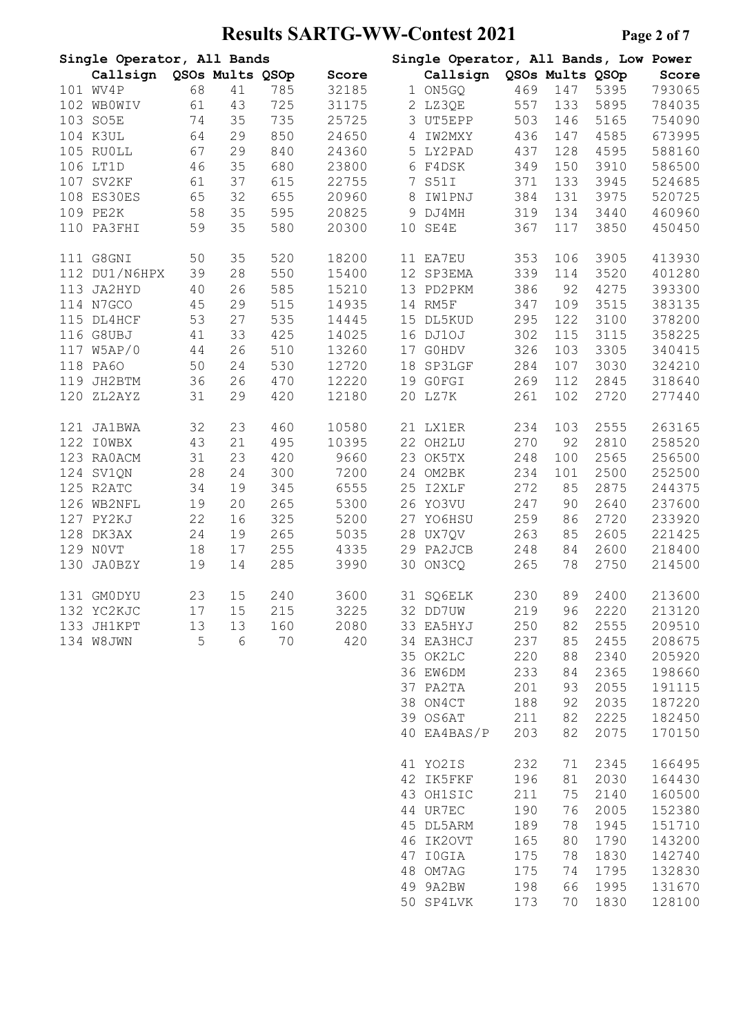# **Results SARTG-WW-Contest 2021 Page 2 of 7**

|     | Single Operator, All Bands |    |    |     |       |    | Single Operator, All Bands, Low Power |     |                 |      |        |
|-----|----------------------------|----|----|-----|-------|----|---------------------------------------|-----|-----------------|------|--------|
|     | Callsign QSOs Mults QSOp   |    |    |     | Score |    | Callsign                              |     | QSOs Mults QSOp |      | Score  |
|     | 101 WV4P                   | 68 | 41 | 785 | 32185 |    | 1 ON5GQ                               | 469 | 147             | 5395 | 793065 |
| 102 | WBOWIV                     | 61 | 43 | 725 | 31175 |    | 2 LZ3QE                               | 557 | 133             | 5895 | 784035 |
|     | 103 SO5E                   | 74 | 35 | 735 | 25725 |    | 3 UT5EPP                              | 503 | 146             | 5165 | 754090 |
|     | 104 K3UL                   | 64 | 29 | 850 | 24650 | 4  | IW2MXY                                | 436 | 147             | 4585 | 673995 |
|     | 105 RUOLL                  | 67 | 29 | 840 | 24360 |    | 5 LY2PAD                              | 437 | 128             | 4595 | 588160 |
|     | 106 LT1D                   | 46 | 35 | 680 | 23800 |    | 6 F4DSK                               | 349 | 150             | 3910 | 586500 |
|     |                            |    |    |     |       |    |                                       |     |                 |      |        |
|     | 107 SV2KF                  | 61 | 37 | 615 | 22755 | 7  | S51I                                  | 371 | 133             | 3945 | 524685 |
|     | 108 ES30ES                 | 65 | 32 | 655 | 20960 | 8  | IW1PNJ                                | 384 | 131             | 3975 | 520725 |
|     | 109 PE2K                   | 58 | 35 | 595 | 20825 | 9  | DJ4MH                                 | 319 | 134             | 3440 | 460960 |
|     | 110 PA3FHI                 | 59 | 35 | 580 | 20300 | 10 | SE4E                                  | 367 | 117             | 3850 | 450450 |
|     | 111 G8GNI                  | 50 | 35 | 520 | 18200 |    | 11 EA7EU                              | 353 | 106             | 3905 | 413930 |
|     | 112 DU1/N6HPX              | 39 | 28 | 550 | 15400 |    | 12 SP3EMA                             | 339 | 114             | 3520 | 401280 |
|     | 113 JA2HYD                 | 40 | 26 | 585 | 15210 |    | 13 PD2PKM                             | 386 | 92              | 4275 | 393300 |
|     | 114 N7GCO                  | 45 | 29 | 515 | 14935 |    | 14 RM5F                               | 347 | 109             | 3515 | 383135 |
|     | 115 DL4HCF                 | 53 | 27 | 535 | 14445 |    | 15 DL5KUD                             | 295 | 122             | 3100 | 378200 |
|     | 116 G8UBJ                  | 41 | 33 | 425 | 14025 |    | 16 DJ10J                              | 302 | 115             | 3115 | 358225 |
| 117 | W5AP/0                     | 44 | 26 | 510 | 13260 |    | 17 GOHDV                              | 326 | 103             | 3305 | 340415 |
|     | 118 PA60                   | 50 | 24 | 530 | 12720 | 18 | <b>SP3LGF</b>                         | 284 | 107             | 3030 | 324210 |
| 119 | JH2BTM                     | 36 | 26 | 470 | 12220 |    | 19 GOFGI                              | 269 | 112             | 2845 | 318640 |
| 120 | ZL2AYZ                     | 31 | 29 | 420 | 12180 | 20 | LZ7K                                  | 261 | 102             | 2720 | 277440 |
| 121 | <b>JA1BWA</b>              | 32 | 23 | 460 | 10580 |    | 21 LX1ER                              | 234 | 103             | 2555 | 263165 |
|     | 122 IOWBX                  | 43 | 21 | 495 | 10395 |    | 22 OH2LU                              | 270 | 92              | 2810 | 258520 |
|     | 123 RAOACM                 | 31 | 23 | 420 | 9660  |    | 23 OK5TX                              | 248 | 100             | 2565 | 256500 |
|     | 124 SV1QN                  | 28 | 24 | 300 | 7200  |    | 24 OM2BK                              | 234 | 101             | 2500 | 252500 |
|     | 125 R2ATC                  | 34 | 19 | 345 | 6555  |    | 25 I2XLF                              | 272 | 85              | 2875 | 244375 |
|     | 126 WB2NFL                 | 19 | 20 | 265 | 5300  |    | 26 YO3VU                              | 247 | 90              | 2640 | 237600 |
|     | 127 PY2KJ                  | 22 | 16 | 325 | 5200  |    | 27 YO6HSU                             | 259 | 86              | 2720 | 233920 |
|     |                            |    |    |     |       |    |                                       |     |                 |      |        |
|     | 128 DK3AX                  | 24 | 19 | 265 | 5035  |    | 28 UX7QV                              | 263 | 85              | 2605 | 221425 |
|     | 129 NOVT                   | 18 | 17 | 255 | 4335  |    | 29 PA2JCB                             | 248 | 84              | 2600 | 218400 |
| 130 | <b>JA0BZY</b>              | 19 | 14 | 285 | 3990  | 30 | ON3CQ                                 | 265 | 78              | 2750 | 214500 |
|     | 131 GMODYU                 | 23 | 15 | 240 | 3600  |    | 31 SQ6ELK                             | 230 | 89              | 2400 | 213600 |
|     | 132 YC2KJC                 | 17 | 15 | 215 | 3225  |    | 32 DD7UW                              | 219 | 96              | 2220 | 213120 |
|     | 133 JH1KPT                 | 13 | 13 | 160 | 2080  |    | 33 EA5HYJ                             | 250 | 82              | 2555 | 209510 |
|     | 134 W8JWN                  | 5  | 6  | 70  | 420   |    | 34 EA3HCJ                             | 237 | 85              | 2455 | 208675 |
|     |                            |    |    |     |       |    | 35 OK2LC                              | 220 | 88              | 2340 | 205920 |
|     |                            |    |    |     |       |    | 36 EW6DM                              | 233 | 84              | 2365 | 198660 |
|     |                            |    |    |     |       |    | 37 PA2TA                              | 201 | 93              | 2055 | 191115 |
|     |                            |    |    |     |       |    | 38 ON4CT                              | 188 | 92              | 2035 | 187220 |
|     |                            |    |    |     |       |    | 39 OS6AT                              | 211 | 82              | 2225 | 182450 |
|     |                            |    |    |     |       |    | 40 EA4BAS/P                           | 203 | 82              | 2075 | 170150 |
|     |                            |    |    |     |       |    |                                       |     |                 |      |        |
|     |                            |    |    |     |       |    | 41 YO2IS                              | 232 | 71              | 2345 | 166495 |
|     |                            |    |    |     |       |    | 42 IK5FKF                             | 196 | 81              | 2030 | 164430 |
|     |                            |    |    |     |       |    | 43 OH1SIC                             | 211 | 75              | 2140 | 160500 |
|     |                            |    |    |     |       |    | 44 UR7EC                              | 190 | 76              | 2005 | 152380 |
|     |                            |    |    |     |       |    | 45 DL5ARM                             | 189 | 78              | 1945 | 151710 |
|     |                            |    |    |     |       |    | 46 IK2OVT                             | 165 | 80              | 1790 | 143200 |
|     |                            |    |    |     |       |    | 47 IOGIA                              | 175 | 78              | 1830 | 142740 |
|     |                            |    |    |     |       |    | 48 OM7AG                              | 175 | 74              | 1795 | 132830 |
|     |                            |    |    |     |       |    | 49 9A2BW                              | 198 | 66              | 1995 | 131670 |
|     |                            |    |    |     |       |    | 50 SP4LVK                             | 173 | 70              | 1830 | 128100 |
|     |                            |    |    |     |       |    |                                       |     |                 |      |        |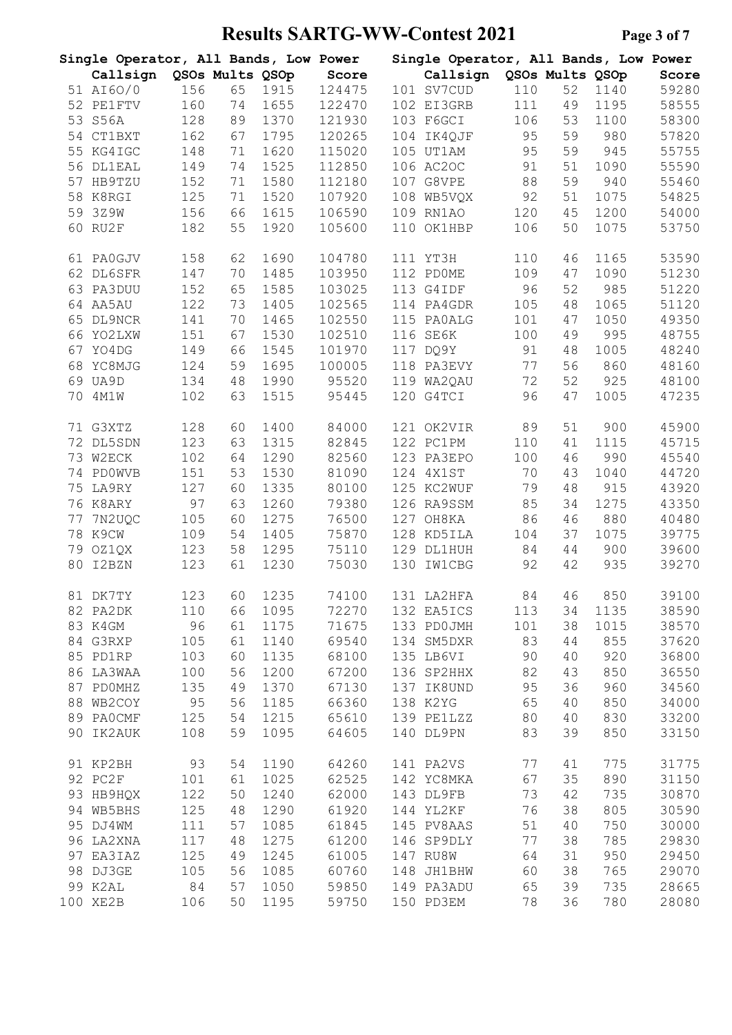# **Results SARTG-WW-Contest 2021 Page 3 of 7**

|    | Single Operator, All Bands, Low Power |     |                 |      |        |     | Single Operator, All Bands, Low Power |                 |    |      |       |
|----|---------------------------------------|-----|-----------------|------|--------|-----|---------------------------------------|-----------------|----|------|-------|
|    | Callsign                              |     | QSOs Mults QSOp |      | Score  |     | Callsign                              | QSOs Mults QSOp |    |      | Score |
|    | 51 AI60/0                             | 156 | 65              | 1915 | 124475 |     | 101 SV7CUD                            | 110             | 52 | 1140 | 59280 |
|    | 52 PE1FTV                             | 160 | 74              | 1655 | 122470 |     | 102 EI3GRB                            | 111             | 49 | 1195 | 58555 |
| 53 | S56A                                  | 128 | 89              | 1370 | 121930 |     | 103 F6GCI                             | 106             | 53 | 1100 | 58300 |
|    | 54 CT1BXT                             | 162 | 67              | 1795 | 120265 |     | 104 IK4QJF                            | 95              | 59 | 980  | 57820 |
|    | 55 KG4IGC                             | 148 | 71              | 1620 | 115020 |     | 105 UT1AM                             | 95              | 59 | 945  | 55755 |
|    | 56 DL1EAL                             | 149 | 74              | 1525 | 112850 |     | 106 AC20C                             | 91              | 51 | 1090 | 55590 |
| 57 | HB9TZU                                | 152 | 71              | 1580 | 112180 |     | 107 G8VPE                             | 88              | 59 | 940  | 55460 |
| 58 | K8RGI                                 | 125 | 71              | 1520 | 107920 |     | 108 WB5VQX                            | 92              | 51 | 1075 | 54825 |
| 59 | 3Z9W                                  | 156 | 66              | 1615 | 106590 |     | 109 RN1AO                             | 120             | 45 | 1200 | 54000 |
| 60 | RU2F                                  |     | 55              | 1920 | 105600 |     | 110 OK1HBP                            |                 | 50 | 1075 | 53750 |
|    |                                       | 182 |                 |      |        |     |                                       | 106             |    |      |       |
|    | 61 PA0GJV                             | 158 | 62              | 1690 | 104780 |     | 111 YT3H                              | 110             | 46 | 1165 | 53590 |
|    | 62 DL6SFR                             | 147 | 70              | 1485 | 103950 |     | 112 PDOME                             | 109             | 47 | 1090 | 51230 |
| 63 | PA3DUU                                | 152 | 65              | 1585 | 103025 |     | 113 G4IDF                             | 96              | 52 | 985  | 51220 |
|    | 64 AA5AU                              | 122 | 73              | 1405 | 102565 |     | 114 PA4GDR                            | 105             | 48 | 1065 | 51120 |
|    | 65 DL9NCR                             | 141 | 70              | 1465 | 102550 |     | 115 PAOALG                            | 101             | 47 | 1050 | 49350 |
|    | 66 YO2LXW                             | 151 | 67              | 1530 | 102510 |     | 116 SE6K                              | 100             | 49 | 995  | 48755 |
| 67 | YO4DG                                 | 149 | 66              | 1545 | 101970 |     | 117 DQ9Y                              | 91              | 48 | 1005 | 48240 |
| 68 | YC8MJG                                | 124 | 59              | 1695 | 100005 |     | 118 PA3EVY                            | 77              | 56 | 860  | 48160 |
|    | 69 UA9D                               | 134 | 48              | 1990 | 95520  |     | 119 WA2QAU                            | 72              | 52 | 925  | 48100 |
| 70 | 4M1W                                  | 102 | 63              | 1515 | 95445  |     | 120 G4TCI                             | 96              | 47 | 1005 | 47235 |
|    |                                       |     |                 |      |        |     |                                       |                 |    |      |       |
|    | 71 G3XTZ                              | 128 | 60              | 1400 | 84000  |     | 121 OK2VIR                            | 89              | 51 | 900  | 45900 |
| 72 | DL5SDN                                | 123 | 63              | 1315 | 82845  |     | 122 PC1PM                             | 110             | 41 | 1115 | 45715 |
| 73 | W2ECK                                 | 102 | 64              | 1290 | 82560  |     | 123 PA3EPO                            | 100             | 46 | 990  | 45540 |
|    | 74 PD0WVB                             | 151 | 53              | 1530 | 81090  |     | 124 4X1ST                             | 70              | 43 | 1040 | 44720 |
| 75 | LA9RY                                 | 127 | 60              | 1335 | 80100  |     | 125 KC2WUF                            | 79              | 48 | 915  | 43920 |
|    | 76 K8ARY                              | 97  | 63              | 1260 | 79380  |     | 126 RA9SSM                            | 85              | 34 | 1275 | 43350 |
| 77 | 7N2UQC                                | 105 | 60              | 1275 | 76500  |     | 127 OH8KA                             | 86              | 46 | 880  | 40480 |
| 78 | K9CW                                  | 109 | 54              | 1405 | 75870  |     | 128 KD5ILA                            | 104             | 37 | 1075 | 39775 |
| 79 | OZ1QX                                 | 123 | 58              | 1295 | 75110  |     | 129 DL1HUH                            | 84              | 44 | 900  | 39600 |
| 80 | I2BZN                                 | 123 | 61              | 1230 | 75030  | 130 | <b>IW1CBG</b>                         | 92              | 42 | 935  | 39270 |
|    | 81 DK7TY                              | 123 | 60              | 1235 | 74100  |     | 131 LA2HFA                            | 84              | 46 | 850  | 39100 |
|    |                                       |     |                 |      |        |     |                                       |                 |    |      | 38590 |
|    | 82 PA2DK                              | 110 | 66              | 1095 | 72270  |     | 132 EA5ICS                            | 113             | 34 | 1135 |       |
|    | 83 K4GM                               | 96  | 61              | 1175 | 71675  |     | 133 PD0JMH                            | 101             | 38 | 1015 | 38570 |
|    | 84 G3RXP                              | 105 | 61              | 1140 | 69540  |     | 134 SM5DXR                            | 83              | 44 | 855  | 37620 |
|    | 85 PD1RP                              | 103 | 60              | 1135 | 68100  |     | 135 LB6VI                             | 90              | 40 | 920  | 36800 |
|    | 86 LA3WAA                             | 100 | 56              | 1200 | 67200  |     | 136 SP2HHX                            | 82              | 43 | 850  | 36550 |
| 87 | PDOMHZ                                | 135 | 49              | 1370 | 67130  |     | 137 IK8UND                            | 95              | 36 | 960  | 34560 |
|    | 88 WB2COY                             | 95  | 56              | 1185 | 66360  |     | 138 K2YG                              | 65              | 40 | 850  | 34000 |
|    | 89 PAOCMF                             | 125 | 54              | 1215 | 65610  |     | 139 PE1LZZ                            | 80              | 40 | 830  | 33200 |
| 90 | IK2AUK                                | 108 | 59              | 1095 | 64605  |     | 140 DL9PN                             | 83              | 39 | 850  | 33150 |
|    | 91 KP2BH                              | 93  | 54              | 1190 | 64260  |     | 141 PA2VS                             | 77              | 41 | 775  | 31775 |
|    | 92 PC2F                               | 101 | 61              | 1025 | 62525  |     | 142 YC8MKA                            | 67              | 35 | 890  | 31150 |
|    | 93 НВ9НQХ                             | 122 | 50              | 1240 | 62000  |     | 143 DL9FB                             | 73              | 42 | 735  | 30870 |
|    |                                       |     |                 |      |        |     |                                       |                 |    |      |       |
|    | 94 WB5BHS                             | 125 | 48              | 1290 | 61920  |     | 144 YL2KF                             | 76              | 38 | 805  | 30590 |
|    | 95 DJ4WM                              | 111 | 57              | 1085 | 61845  |     | 145 PV8AAS                            | 51              | 40 | 750  | 30000 |
|    | 96 LA2XNA                             | 117 | 48              | 1275 | 61200  |     | 146 SP9DLY                            | 77              | 38 | 785  | 29830 |
| 97 | EA3IAZ                                | 125 | 49              | 1245 | 61005  |     | 147 RU8W                              | 64              | 31 | 950  | 29450 |
| 98 | DJ3GE                                 | 105 | 56              | 1085 | 60760  |     | 148 JH1BHW                            | 60              | 38 | 765  | 29070 |
|    | 99 K2AL                               | 84  | 57              | 1050 | 59850  |     | 149 PA3ADU                            | 65              | 39 | 735  | 28665 |
|    | 100 XE2B                              | 106 | 50              | 1195 | 59750  |     | 150 PD3EM                             | 78              | 36 | 780  | 28080 |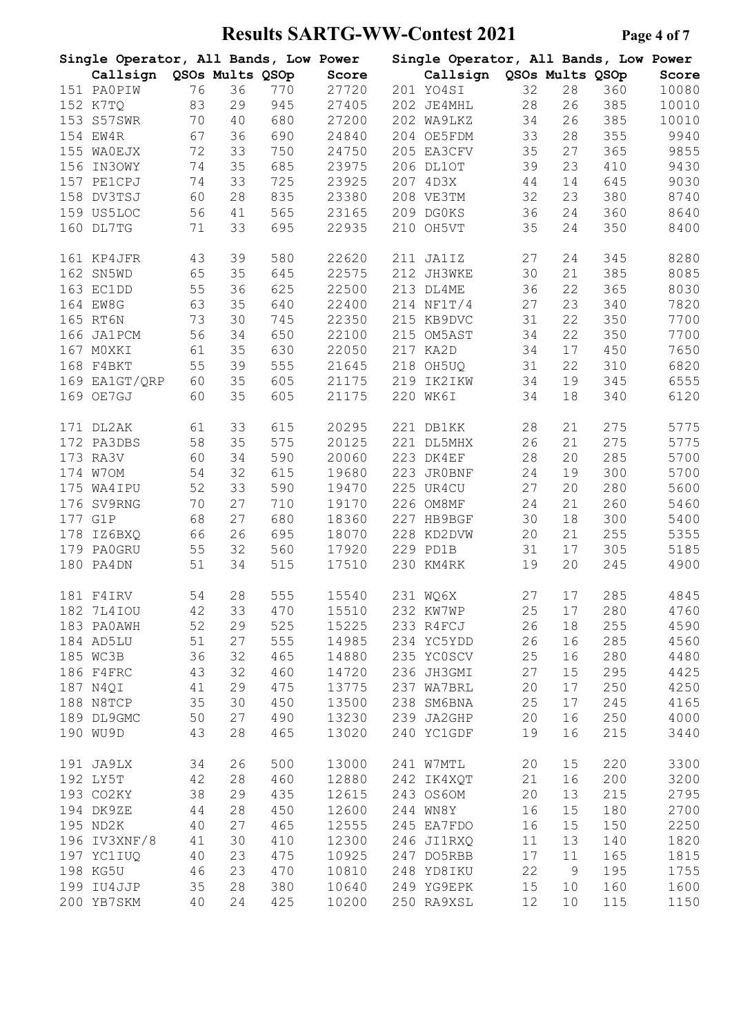# **Results SARTG-WW-Contest 2021 Page 4 of 7**

|     | Single Operator, All Bands, Low Power |    |                 |     |       |     | Single Operator, All Bands, Low Power |    |                 |     |       |
|-----|---------------------------------------|----|-----------------|-----|-------|-----|---------------------------------------|----|-----------------|-----|-------|
|     | Callsign                              |    | QSOs Mults QSOp |     | Score |     | Callsign                              |    | QSOs Mults QSOp |     | Score |
|     | 151 PAOPIW                            | 76 | 36              | 770 | 27720 |     | 201 YO4SI                             | 32 | 28              | 360 | 10080 |
|     | 152 K7TQ                              | 83 | 29              | 945 | 27405 |     | 202 JE4MHL                            | 28 | 26              | 385 | 10010 |
|     | 153 S57SWR                            | 70 | 40              | 680 | 27200 |     | 202 WA9LKZ                            | 34 | 26              | 385 | 10010 |
|     | 154 EW4R                              | 67 | 36              | 690 | 24840 |     | 204 OE5FDM                            | 33 | 28              | 355 | 9940  |
|     | 155 WAOEJX                            | 72 | 33              | 750 | 24750 |     | 205 EA3CFV                            | 35 | 27              | 365 | 9855  |
| 156 | IN3OWY                                | 74 | 35              | 685 | 23975 |     | 206 DL1OT                             | 39 | 23              | 410 | 9430  |
|     | 157 PE1CPJ                            | 74 | 33              | 725 | 23925 |     | 207 4D3X                              | 44 | 14              | 645 | 9030  |
|     |                                       |    |                 |     |       |     | 208 VE3TM                             |    |                 |     | 8740  |
|     | 158 DV3TSJ                            | 60 | 28              | 835 | 23380 |     |                                       | 32 | 23              | 380 |       |
|     | 159 US5LOC                            | 56 | 41              | 565 | 23165 |     | 209 DG0KS                             | 36 | 24              | 360 | 8640  |
|     | 160 DL7TG                             | 71 | 33              | 695 | 22935 |     | 210 OH5VT                             | 35 | 24              | 350 | 8400  |
|     | 161 KP4JFR                            | 43 | 39              | 580 | 22620 |     | 211 JA1IZ                             | 27 | 24              | 345 | 8280  |
|     | 162 SN5WD                             | 65 | 35              | 645 | 22575 |     | 212 JH3WKE                            | 30 | 21              | 385 | 8085  |
|     | 163 EC1DD                             | 55 | 36              | 625 | 22500 |     | 213 DL4ME                             | 36 | 22              | 365 | 8030  |
|     | 164 EW8G                              | 63 | 35              | 640 | 22400 |     | 214 NF1T/4                            | 27 | 23              | 340 | 7820  |
|     | 165 RT6N                              | 73 | 30              | 745 | 22350 |     | 215 KB9DVC                            | 31 | 22              | 350 | 7700  |
| 166 | <b>JA1PCM</b>                         | 56 | 34              | 650 | 22100 | 215 | OM5AST                                | 34 | 22              | 350 | 7700  |
| 167 | MOXKI                                 | 61 | 35              | 630 | 22050 |     | 217 KA2D                              | 34 | 17              | 450 | 7650  |
|     | 168 F4BKT                             | 55 | 39              | 555 | 21645 |     | 218 OH5UQ                             | 31 | 22              | 310 | 6820  |
|     | 169 EA1GT/QRP                         | 60 | 35              | 605 | 21175 | 219 | IK2IKW                                | 34 | 19              | 345 | 6555  |
|     |                                       |    |                 |     |       |     |                                       |    |                 |     |       |
|     | 169 OE7GJ                             | 60 | 35              | 605 | 21175 |     | 220 WK6I                              | 34 | 18              | 340 | 6120  |
|     | 171 DL2AK                             | 61 | 33              | 615 | 20295 |     | 221 DB1KK                             | 28 | 21              | 275 | 5775  |
|     | 172 PA3DBS                            | 58 | 35              | 575 | 20125 |     | 221 DL5MHX                            | 26 | 21              | 275 | 5775  |
|     | 173 RA3V                              | 60 | 34              | 590 | 20060 |     | 223 DK4EF                             | 28 | 20              | 285 | 5700  |
|     | 174 W70M                              | 54 | 32              | 615 | 19680 |     | 223 JROBNF                            | 24 | 19              | 300 | 5700  |
|     | 175 WA4IPU                            | 52 | 33              | 590 | 19470 |     | 225 UR4CU                             | 27 | 20              | 280 | 5600  |
| 176 | SV9RNG                                | 70 | 27              | 710 | 19170 |     | 226 OM8MF                             | 24 | 21              | 260 | 5460  |
| 177 | G1P                                   | 68 | 27              | 680 | 18360 |     | 227 HB9BGF                            | 30 | 18              | 300 | 5400  |
| 178 | IZ6BXQ                                | 66 | 26              | 695 | 18070 |     | 228 KD2DVW                            | 20 | 21              | 255 | 5355  |
|     | 179 PA0GRU                            | 55 | 32              | 560 | 17920 |     | 229 PD1B                              | 31 | 17              | 305 | 5185  |
|     | 180 PA4DN                             |    |                 | 515 | 17510 |     | 230 KM4RK                             |    | 20              | 245 |       |
|     |                                       | 51 | 34              |     |       |     |                                       | 19 |                 |     | 4900  |
|     | 181 F4IRV                             | 54 | 28              | 555 | 15540 |     | 231 WQ6X                              | 27 | 17              | 285 | 4845  |
|     | 182 7L4IOU                            | 42 | 33              | 470 | 15510 |     | 232 KW7WP                             | 25 | 17              | 280 | 4760  |
|     | 183 PAOAWH                            | 52 | 29              | 525 | 15225 |     | 233 R4FCJ                             | 26 | 18              | 255 | 4590  |
|     | 184 AD5LU                             | 51 | 27              | 555 | 14985 |     | 234 YC5YDD                            | 26 | 16              | 285 | 4560  |
|     | 185 WC3B                              | 36 | 32              | 465 | 14880 |     | 235 YCOSCV                            | 25 | 16              | 280 | 4480  |
|     | 186 F4FRC                             | 43 | 32              | 460 | 14720 |     | 236 JH3GMI                            | 27 | 15              | 295 | 4425  |
|     | 187 N4QI                              | 41 | 29              | 475 | 13775 |     | 237 WA7BRL                            | 20 | 17              | 250 | 4250  |
|     | 188 N8TCP                             | 35 | 30              | 450 | 13500 |     | 238 SM6BNA                            | 25 | 17              | 245 | 4165  |
|     | 189 DL9GMC                            | 50 | 27              | 490 | 13230 |     | 239 JA2GHP                            | 20 | 16              | 250 | 4000  |
|     | 190 WU9D                              | 43 | 28              | 465 | 13020 |     | 240 YC1GDF                            | 19 | 16              | 215 | 3440  |
|     |                                       |    |                 |     |       |     |                                       |    |                 |     |       |
|     | 191 JA9LX                             | 34 | 26              | 500 | 13000 |     | 241 W7MTL                             | 20 | 15              | 220 | 3300  |
|     | 192 LY5T                              | 42 | 28              | 460 | 12880 |     | 242 IK4XQT                            | 21 | 16              | 200 | 3200  |
|     | 193 CO2KY                             | 38 | 29              | 435 | 12615 |     | 243 OS6OM                             | 20 | 13              | 215 | 2795  |
|     | 194 DK9ZE                             | 44 | 28              | 450 | 12600 |     | 244 WN8Y                              | 16 | 15              | 180 | 2700  |
|     | 195 ND2K                              | 40 | 27              | 465 | 12555 |     | 245 EA7FDO                            | 16 | 15              | 150 | 2250  |
|     | 196 IV3XNF/8                          | 41 | 30              | 410 | 12300 |     | 246 JI1RXQ                            | 11 | 13              | 140 | 1820  |
|     | 197 YC1IUQ                            | 40 | 23              | 475 | 10925 |     | 247 DO5RBB                            | 17 | 11              | 165 | 1815  |
|     | 198 KG5U                              | 46 | 23              | 470 | 10810 |     | 248 YD8IKU                            | 22 | 9               | 195 | 1755  |
|     | 199 IU4JJP                            | 35 | 28              | 380 | 10640 |     | 249 YG9EPK                            | 15 | 10              | 160 | 1600  |
|     | 200 YB7SKM                            | 40 | 24              | 425 | 10200 |     | 250 RA9XSL                            | 12 | 10              | 115 | 1150  |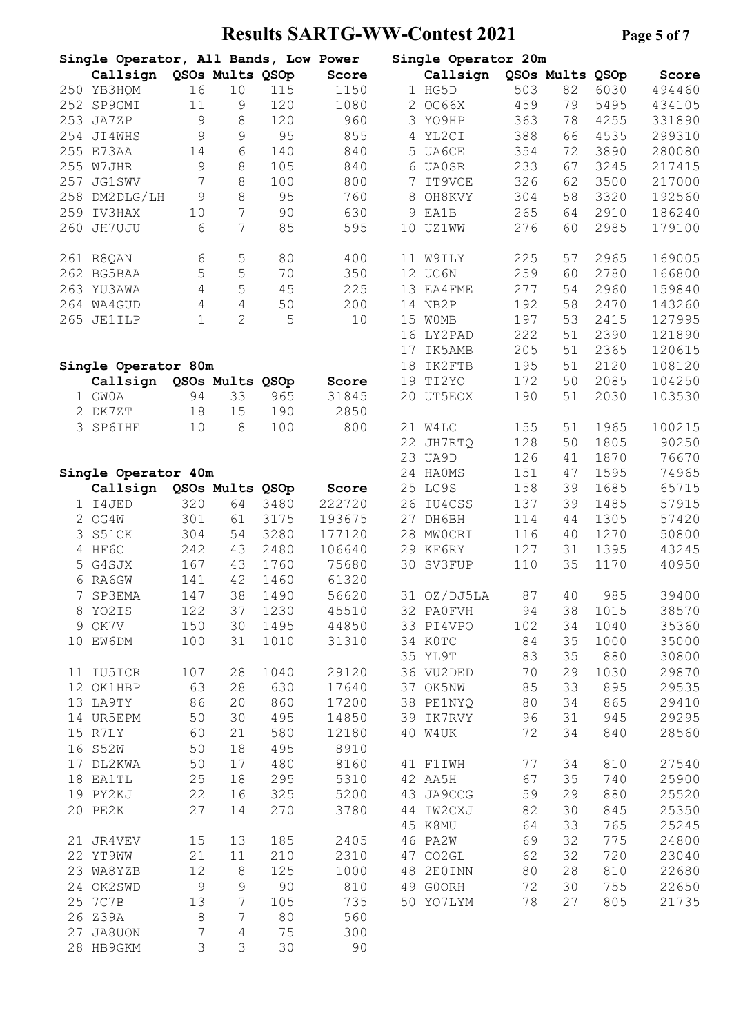# **Results SARTG-WW-Contest 2021 Page 5 of 7**

|     | Single Operator, All Bands, Low Power |               |                 |      |        |    | Single Operator 20m |     |                 |      |        |
|-----|---------------------------------------|---------------|-----------------|------|--------|----|---------------------|-----|-----------------|------|--------|
|     | Callsign                              |               | QSOs Mults QSOp |      | Score  |    | Callsign            |     | QSOs Mults QSOp |      | Score  |
|     | 250 YB3HQM                            | 16            | 10              | 115  | 1150   |    | 1 HG5D              | 503 | 82              | 6030 | 494460 |
| 252 | SP9GMI                                | 11            | 9               | 120  | 1080   |    | 2 OG66X             | 459 | 79              | 5495 | 434105 |
| 253 | JA7ZP                                 | $\mathcal{G}$ | 8               | 120  | 960    | 3  | YO9HP               | 363 | 78              | 4255 | 331890 |
|     |                                       |               |                 |      |        |    |                     |     |                 |      |        |
| 254 | JI4WHS                                | 9             | 9               | 95   | 855    | 4  | YL2CI               | 388 | 66              | 4535 | 299310 |
| 255 | E73AA                                 | 14            | 6               | 140  | 840    |    | 5 UA6CE             | 354 | 72              | 3890 | 280080 |
| 255 | W7JHR                                 | $\mathcal{G}$ | 8               | 105  | 840    |    | 6 UA0SR             | 233 | 67              | 3245 | 217415 |
| 257 | JG1SWV                                | 7             | 8               | 100  | 800    | 7  | IT9VCE              | 326 | 62              | 3500 | 217000 |
| 258 | DM2DLG/LH                             | 9             | 8               | 95   | 760    | 8  | OH8KVY              | 304 | 58              | 3320 | 192560 |
| 259 | IV3HAX                                | 10            | 7               | 90   | 630    | 9  | EA1B                | 265 | 64              | 2910 | 186240 |
|     | JH7UJU                                |               | 7               |      |        |    |                     | 276 |                 | 2985 | 179100 |
| 260 |                                       | 6             |                 | 85   | 595    | 10 | <b>UZ1WW</b>        |     | 60              |      |        |
|     | 261 R8QAN                             | 6             | 5               | 80   | 400    |    | 11 W9ILY            | 225 | 57              | 2965 | 169005 |
|     | 262 BG5BAA                            | 5             | 5               | 70   | 350    |    | 12 UC6N             | 259 | 60              | 2780 | 166800 |
|     | 263 YU3AWA                            | 4             | 5               | 45   | 225    |    | 13 EA4FME           | 277 | 54              | 2960 | 159840 |
|     | 264 WA4GUD                            | 4             | 4               | 50   | 200    |    | 14 NB2P             | 192 | 58              | 2470 | 143260 |
| 265 | <b>JE1ILP</b>                         | $\mathbf 1$   | $\overline{2}$  | 5    | 10     | 15 | <b>WOMB</b>         | 197 | 53              | 2415 | 127995 |
|     |                                       |               |                 |      |        | 16 | LY2PAD              | 222 | 51              | 2390 | 121890 |
|     |                                       |               |                 |      |        |    |                     |     |                 |      |        |
|     |                                       |               |                 |      |        | 17 | IK5AMB              | 205 | 51              | 2365 | 120615 |
|     | Single Operator 80m                   |               |                 |      |        | 18 | IK2FTB              | 195 | 51              | 2120 | 108120 |
|     | Callsign                              |               | QSOs Mults QSOp |      | Score  | 19 | TI2YO               | 172 | 50              | 2085 | 104250 |
|     | 1 GWOA                                | 94            | 33              | 965  | 31845  | 20 | UT5EOX              | 190 | 51              | 2030 | 103530 |
| 2   | DK7ZT                                 | 18            | 15              | 190  | 2850   |    |                     |     |                 |      |        |
|     | 3 SP6IHE                              | 10            | 8               | 100  | 800    |    | 21 W4LC             | 155 | 51              | 1965 | 100215 |
|     |                                       |               |                 |      |        |    |                     |     |                 |      |        |
|     |                                       |               |                 |      |        | 22 | JH7RTQ              | 128 | 50              | 1805 | 90250  |
|     |                                       |               |                 |      |        | 23 | UA9D                | 126 | 41              | 1870 | 76670  |
|     | Single Operator 40m                   |               |                 |      |        |    | 24 HAOMS            | 151 | 47              | 1595 | 74965  |
|     | Callsign                              |               | QSOs Mults QSOp |      | Score  |    | 25 LC9S             | 158 | 39              | 1685 | 65715  |
|     | 1 I4JED                               | 320           | 64              | 3480 | 222720 | 26 | IU4CSS              | 137 | 39              | 1485 | 57915  |
| 2   | OG4W                                  | 301           | 61              | 3175 | 193675 | 27 | DH6BH               | 114 | 44              | 1305 | 57420  |
| 3   | S51CK                                 | 304           | 54              | 3280 | 177120 | 28 | MWOCRI              | 116 | 40              | 1270 | 50800  |
|     |                                       |               |                 |      |        |    |                     |     |                 |      |        |
|     | 4 HF6C                                | 242           | 43              | 2480 | 106640 |    | 29 KF6RY            | 127 | 31              | 1395 | 43245  |
| 5.  | G4SJX                                 | 167           | 43              | 1760 | 75680  | 30 | SV3FUP              | 110 | 35              | 1170 | 40950  |
| 6.  | RA6GW                                 | 141           | 42              | 1460 | 61320  |    |                     |     |                 |      |        |
| 7   | <b>SP3EMA</b>                         | 147           | 38              | 1490 | 56620  |    | 31 OZ/DJ5LA         | 87  | 40              | 985  | 39400  |
|     | 8 YO2IS                               | 122           | 37              | 1230 | 45510  |    | 32 PAOFVH           | 94  | 38              | 1015 | 38570  |
|     | 9 OK7V                                | 150           | 30              | 1495 | 44850  |    | 33 PI4VPO           | 102 | 34              | 1040 | 35360  |
|     |                                       |               |                 |      |        |    |                     |     |                 |      |        |
|     | 10 EW6DM                              | 100           | 31              | 1010 | 31310  |    | 34 KOTC             | 84  | 35              | 1000 | 35000  |
|     |                                       |               |                 |      |        |    | 35 YL9T             | 83  | 35              | 880  | 30800  |
|     | 11 IU5ICR                             | 107           | 28              | 1040 | 29120  |    | 36 VU2DED           | 70  | 29              | 1030 | 29870  |
|     | 12 OK1HBP                             | 63            | 28              | 630  | 17640  |    | 37 OK5NW            | 85  | 33              | 895  | 29535  |
|     | 13 LA9TY                              | 86            | 20              | 860  | 17200  |    | 38 PE1NYQ           | 80  | 34              | 865  | 29410  |
|     | 14 UR5EPM                             | 50            | 30              | 495  | 14850  |    | 39 IK7RVY           | 96  | 31              | 945  | 29295  |
|     | 15 R7LY                               | 60            | 21              | 580  | 12180  |    | 40 W4UK             | 72  | 34              | 840  | 28560  |
|     |                                       |               |                 |      |        |    |                     |     |                 |      |        |
|     | 16 S52W                               | 50            | 18              | 495  | 8910   |    |                     |     |                 |      |        |
|     | 17 DL2KWA                             | 50            | 17              | 480  | 8160   |    | 41 F1IWH            | 77  | 34              | 810  | 27540  |
|     | 18 EA1TL                              | 25            | 18              | 295  | 5310   |    | 42 AA5H             | 67  | 35              | 740  | 25900  |
|     | 19 PY2KJ                              | 22            | 16              | 325  | 5200   |    | 43 JA9CCG           | 59  | 29              | 880  | 25520  |
|     | 20 PE2K                               | 27            | 14              | 270  | 3780   |    | 44 IW2CXJ           | 82  | 30              | 845  | 25350  |
|     |                                       |               |                 |      |        |    | 45 K8MU             | 64  | 33              | 765  | 25245  |
|     | 21 JR4VEV                             | 15            | 13              | 185  | 2405   |    | 46 PA2W             | 69  | 32              | 775  | 24800  |
|     |                                       |               |                 |      |        |    |                     |     |                 |      |        |
|     | 22 YT9WW                              | 21            | 11              | 210  | 2310   |    | 47 CO2GL            | 62  | 32              | 720  | 23040  |
|     | 23 WA8YZB                             | 12            | $\,8\,$         | 125  | 1000   |    | 48 2E0INN           | 80  | 28              | 810  | 22680  |
|     | 24 OK2SWD                             | $\mathsf 9$   | 9               | 90   | 810    |    | 49 GOORH            | 72  | 30              | 755  | 22650  |
| 25  | 7C7B                                  | 13            | 7               | 105  | 735    |    | 50 YO7LYM           | 78  | 27              | 805  | 21735  |
|     | 26 Z39A                               | 8             | 7               | 80   | 560    |    |                     |     |                 |      |        |
| 27  | JA8UON                                | 7             |                 | 75   | 300    |    |                     |     |                 |      |        |
|     |                                       |               | 4               |      |        |    |                     |     |                 |      |        |
|     | 28 HB9GKM                             | 3             | 3               | 30   | 90     |    |                     |     |                 |      |        |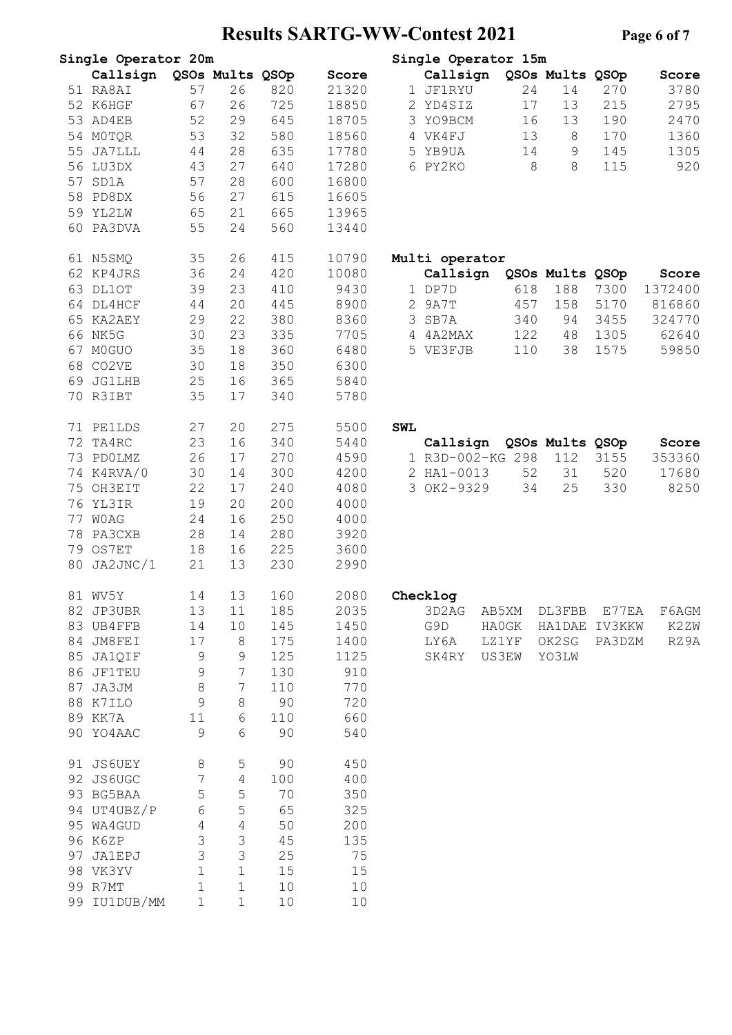# **Results SARTG-WW-Contest 2021 Pag**

|    | Single Operator 20m |             |                 |     |       | Single Operator 15m                        |
|----|---------------------|-------------|-----------------|-----|-------|--------------------------------------------|
|    | Callsign            |             | QSOs Mults QSOp |     | Score | QSOs Mults QSOp<br>Callsign<br>Score       |
|    | 51 RA8AI            | 57          | 26              | 820 | 21320 | 1 JF1RYU<br>24<br>14<br>270<br>3780        |
|    | 52 K6HGF            | 67          | 26              | 725 | 18850 | 17<br>215<br>2795<br>2 YD4SIZ<br>13        |
| 53 | AD4EB               | 52          | 29              | 645 | 18705 | 3 YO9BCM<br>190<br>2470<br>16<br>13        |
|    | 54 MOTOR            | 53          | 32              | 580 | 18560 | 4 VK4FJ<br>13<br>$8\,$<br>170<br>1360      |
| 55 | JA7LLL              | 44          | 28              | 635 | 17780 | 145<br>1305<br>5 YB9UA<br>14<br>9          |
|    | 56 LU3DX            | 43          | 27              | 640 | 17280 | 8<br>115<br>920<br>6 PY2KO<br>$8\,$        |
| 57 | SD1A                | 57          | 28              | 600 | 16800 |                                            |
| 58 | PD8DX               | 56          | 27              | 615 | 16605 |                                            |
|    |                     |             |                 |     |       |                                            |
|    | 59 YL2LW            | 65          | 21              | 665 | 13965 |                                            |
| 60 | PA3DVA              | 55          | 24              | 560 | 13440 |                                            |
|    | 61 N5SMQ            | 35          | 26              | 415 | 10790 | Multi operator                             |
|    | 62 KP4JRS           | 36          | 24              | 420 | 10080 | Callsign<br>QSOs Mults QSOp<br>Score       |
| 63 | DL1OT               | 39          | 23              | 410 | 9430  | 1 DP7D<br>618<br>188<br>7300<br>1372400    |
|    | 64 DL4HCF           | 44          | 20              | 445 | 8900  | 2 9A7T<br>5170<br>816860<br>457<br>158     |
|    | 65 KA2AEY           | 29          | 22              | 380 | 8360  | 3<br>SB7A<br>340<br>94<br>3455<br>324770   |
|    | 66 NK5G             | 30          | 23              | 335 | 7705  | 4 4A2MAX<br>122<br>48<br>1305<br>62640     |
| 67 | M0GUO               | 35          | 18              | 360 | 6480  | 5 VE3FJB<br>110<br>38<br>1575<br>59850     |
|    | 68 CO2VE            | 30          | 18              | 350 | 6300  |                                            |
| 69 | <b>JG1LHB</b>       | 25          | 16              | 365 | 5840  |                                            |
|    | 70 R3IBT            | 35          | 17              | 340 | 5780  |                                            |
|    |                     |             |                 |     |       |                                            |
|    | 71 PE1LDS           | 27          | 20              | 275 | 5500  | <b>SWL</b>                                 |
|    | 72 TA4RC            | 23          | 16              | 340 | 5440  | Callsign<br>QSOs Mults QSOp<br>Score       |
|    | 73 PDOLMZ           | 26          | 17              | 270 | 4590  | 1 R3D-002-KG 298<br>112<br>3155<br>353360  |
|    | 74 K4RVA/0          | 30          | 14              | 300 | 4200  | 2 HA1-0013<br>52<br>31<br>520<br>17680     |
|    | 75 OH3EIT           | 22          | 17              | 240 | 4080  | 3 OK2-9329<br>34<br>25<br>330<br>8250      |
|    | 76 YL3IR            | 19          | 20              | 200 | 4000  |                                            |
| 77 | <b>WOAG</b>         | 24          | 16              | 250 | 4000  |                                            |
| 78 | PA3CXB              | 28          | 14              | 280 | 3920  |                                            |
|    | 79 OS7ET            | 18          | 16              | 225 | 3600  |                                            |
| 80 |                     |             | 13              | 230 | 2990  |                                            |
|    | JA2JNC/1            | 21          |                 |     |       |                                            |
|    | 81 WV5Y             | 14          | 13              | 160 | 2080  | Checklog                                   |
|    | 82 JP3UBR           | 13          | 11              | 185 | 2035  | 3D2AG<br>AB5XM<br>DL3FBB<br>E77EA<br>F6AGM |
|    | 83 UB4FFB           | 14          | 10              | 145 | 1450  | G9D<br>HA1DAE IV3KKW<br>K2ZW<br>HAOGK      |
|    | 84 JM8FEI           | 17          | 8               | 175 | 1400  | LY6A<br>OK2SG<br>RZ9A<br>LZ1YF<br>PA3DZM   |
|    | 85 JA1QIF           | 9           | 9               | 125 | 1125  | <b>US3EW</b><br>YO3LW<br>SK4RY             |
|    | 86 JF1TEU           | 9           | 7               | 130 | 910   |                                            |
|    | 87 JA3JM            | 8           | 7               | 110 | 770   |                                            |
|    | 88 K7ILO            | 9           | 8               | 90  | 720   |                                            |
|    | 89 KK7A             | 11          | 6               | 110 | 660   |                                            |
|    | 90 YO4AAC           | 9           | 6               | 90  | 540   |                                            |
|    |                     |             |                 |     |       |                                            |
|    | 91 JS6UEY           | 8           | 5               | 90  | 450   |                                            |
|    | 92 JS6UGC           | 7           | $\overline{4}$  | 100 | 400   |                                            |
|    | 93 BG5BAA           | 5           | 5               | 70  | 350   |                                            |
|    | 94 UT4UBZ/P         | 6           | 5               | 65  | 325   |                                            |
|    | 95 WA4GUD           | 4           | 4               | 50  | 200   |                                            |
|    | 96 K6ZP             | 3           | 3               | 45  | 135   |                                            |
|    | 97 JA1EPJ           | 3           | 3               | 25  | 75    |                                            |
|    | 98 VK3YV            | $\mathbf 1$ | $1\,$           | 15  | 15    |                                            |
|    | 99 R7MT             | $\mathbf 1$ | $1\,$           | 10  | 10    |                                            |
|    | 99 IU1DUB/MM        | 1           | $\mathbf 1$     | 10  | 10    |                                            |
|    |                     |             |                 |     |       |                                            |